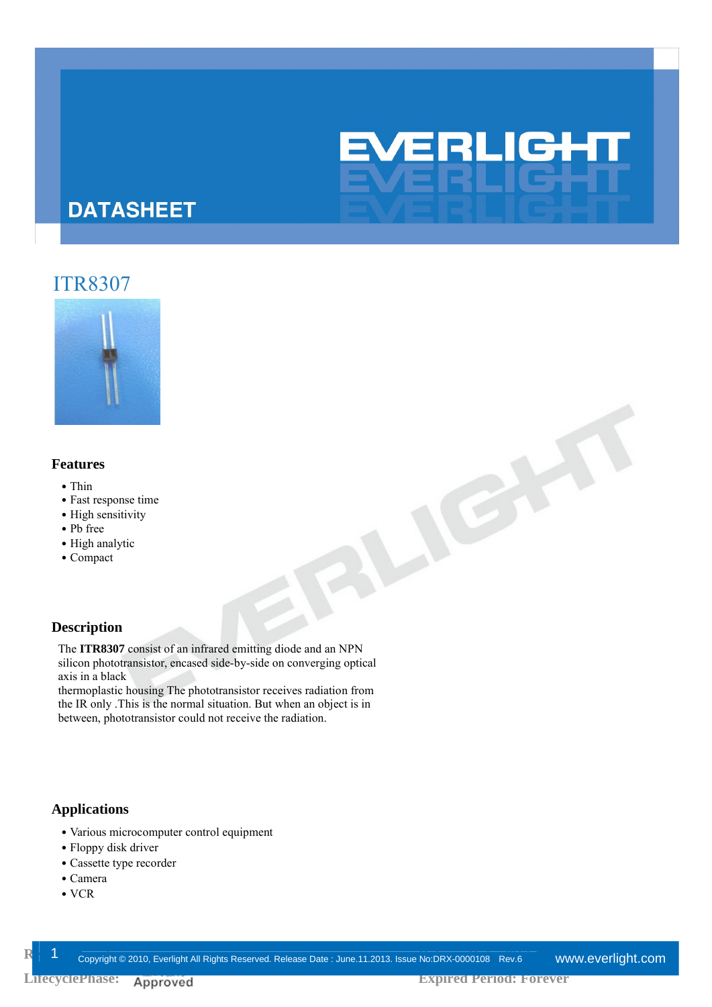## **DATASHEET**

## ITR8307



#### **Features**

- Thin
- Fast response time
- High sensitivity
- ․Pb free
- High analytic
- ․Compact

#### **Description**

The **ITR8307** consist of an infrared emitting diode and an NPN silicon phototransistor, encased side-by-side on converging optical axis in a black

thermoplastic housing The phototransistor receives radiation from the IR only .This is the normal situation. But when an object is in between, phototransistor could not receive the radiation.

#### **Applications**

- ․Various microcomputer control equipment
- Floppy disk driver
- Cassette type recorder
- ․Camera
- ․VCR

**EVERLIGHT** 

JEN

L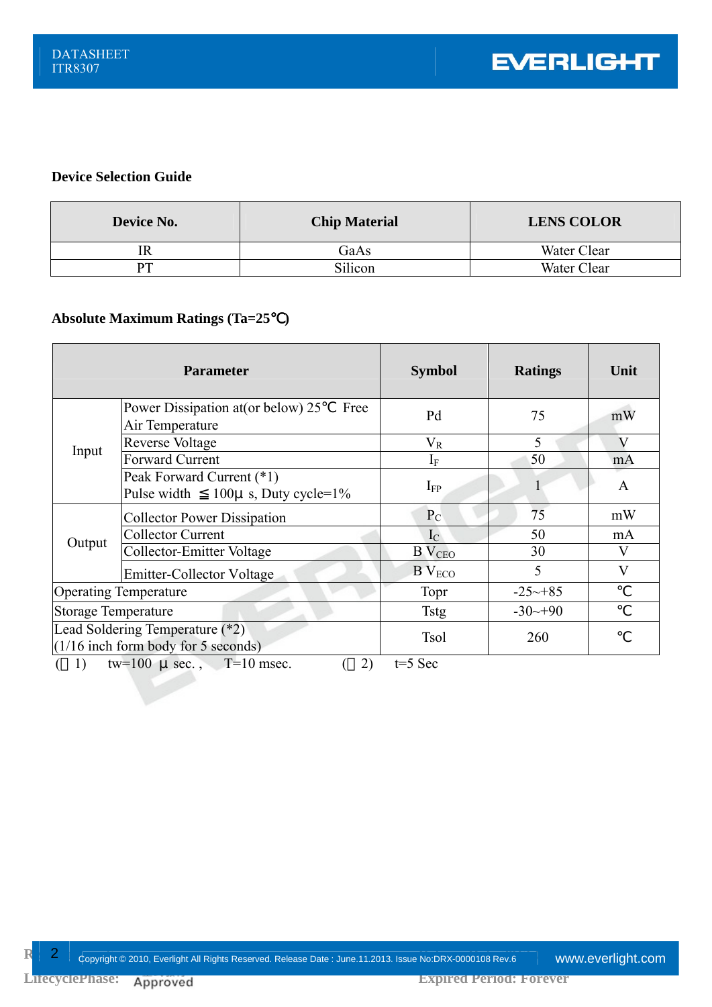#### **Device Selection Guide**

| Device No. | <b>Chip Material</b> | <b>LENS COLOR</b> |  |  |
|------------|----------------------|-------------------|--|--|
|            | GaAs                 | Water Clear       |  |  |
|            | Silicon              | Water Clear       |  |  |

#### **Absolute Maximum Ratings (Ta=25**℃**)**

| <b>Parameter</b>                                                         |                                                                           | <b>Symbol</b>             | <b>Ratings</b>        | Unit         |  |  |
|--------------------------------------------------------------------------|---------------------------------------------------------------------------|---------------------------|-----------------------|--------------|--|--|
| Input                                                                    | Power Dissipation at (or below) 25<br>Free<br>Air Temperature             | Pd                        | 75                    | mW           |  |  |
|                                                                          | <b>Reverse Voltage</b>                                                    | $\rm V_R$                 | 5                     | V            |  |  |
|                                                                          | Forward Current                                                           | $I_{\rm F}$               | 50                    | mA           |  |  |
|                                                                          | Peak Forward Current (*1)<br>$100\mu$ s, Duty cycle= $1\%$<br>Pulse width | $I_{FP}$                  |                       | $\mathsf{A}$ |  |  |
| Output                                                                   | <b>Collector Power Dissipation</b>                                        | $P_{C}$                   | 75                    | mW           |  |  |
|                                                                          | <b>Collector Current</b>                                                  | $I_{\rm C}$               | 50                    | mA           |  |  |
|                                                                          | Collector-Emitter Voltage                                                 | <b>B</b> V <sub>CEO</sub> | 30                    | V            |  |  |
|                                                                          | <b>Emitter-Collector Voltage</b>                                          | $B$ $V_{ECO}$             | 5                     | $\bf V$      |  |  |
| <b>Operating Temperature</b>                                             |                                                                           | Topr                      | $-25 \rightarrow +85$ |              |  |  |
| <b>Storage Temperature</b>                                               |                                                                           | <b>Tstg</b>               | $-30^{-}+90$          |              |  |  |
| Lead Soldering Temperature (*2)<br>$(1/16$ inch form body for 5 seconds) |                                                                           | <b>Tsol</b>               | 260                   |              |  |  |
| tw=100 $\mu$ sec., T=10 msec.<br>2)<br>$t=5$ Sec<br>1)                   |                                                                           |                           |                       |              |  |  |

**R**elease Date: Copyright © 2010, Everlight All Rights Reserved. Release Date : June.11.2013. Issue No:DRX-0000108 Rev.6 www.**everlight.com**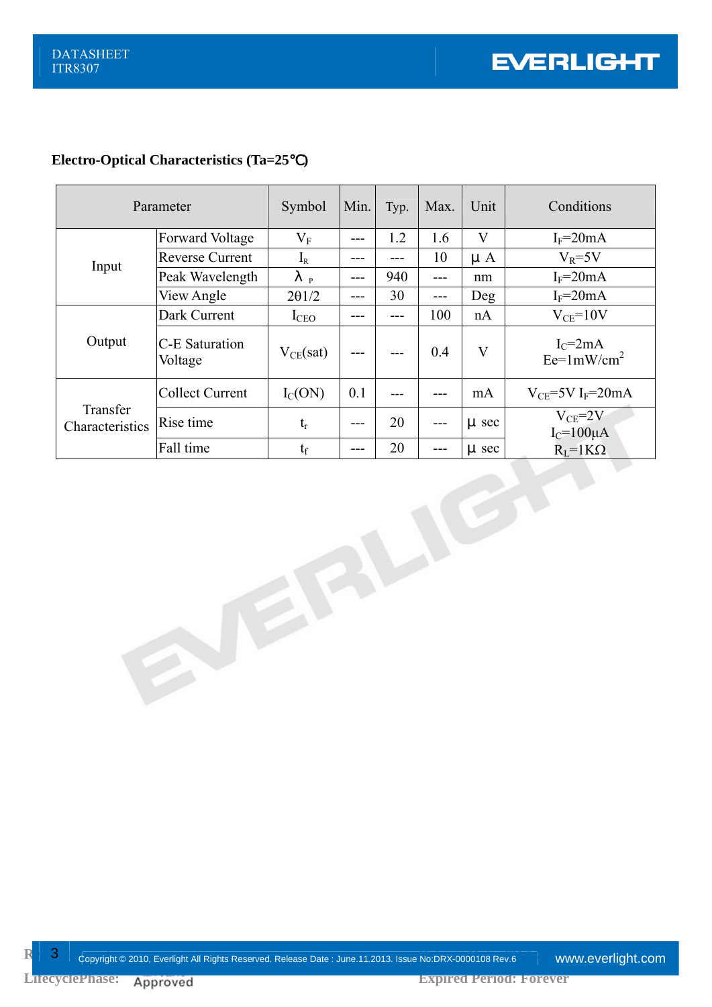### **Electro-Optical Characteristics (Ta=25**℃**)**

| Parameter                   |                           | Symbol           | Min.  | Typ. | Max. | Unit                    | Conditions                         |
|-----------------------------|---------------------------|------------------|-------|------|------|-------------------------|------------------------------------|
| Input                       | <b>Forward Voltage</b>    | $\rm V_F$        | ---   | 1.2  | 1.6  | V                       | $I_F = 20mA$                       |
|                             | <b>Reverse Current</b>    | $I_{R}$          | ---   |      | 10   | $\mu$ A                 | $V_R = 5V$                         |
|                             | Peak Wavelength           | P                | ---   | 940  | ---  | nm                      | $I_F = 20mA$                       |
|                             | View Angle                | $2\theta$ 1/2    | ---   | 30   | ---  | Deg                     | $I_F = 20mA$                       |
| Output                      | Dark Current              | I <sub>CEO</sub> | ---   |      | 100  | nA                      | $V_{CE} = 10V$                     |
|                             | C-E Saturation<br>Voltage | $V_{CE}(sat)$    |       | ---  | 0.4  | $\overline{\mathbf{V}}$ | $I_C = 2mA$<br>$Ee=1mW/cm^2$       |
| Transfer<br>Characteristics | <b>Collect Current</b>    | $I_{C}(ON)$      | 0.1   |      |      | mA                      | $V_{CF}$ =5V I <sub>F</sub> =20mA  |
|                             | Rise time                 | $t_{r}$          | ---   | 20   | ---  | $\mu$ sec               | $V_{CE} = 2V$<br>$I_C = 100 \mu A$ |
|                             | Fall time                 | $t_f$            | $---$ | 20   | ---  | µ sec                   | $R_{L} = 1K\Omega$                 |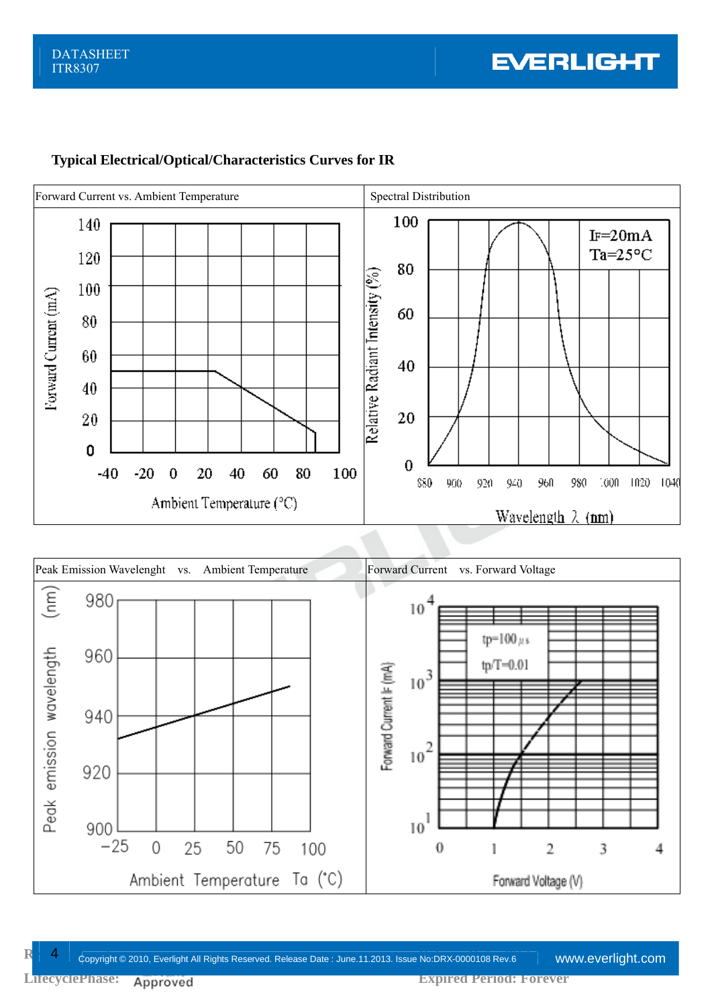

## **Typical Electrical/Optical/Characteristics Curves for IR**

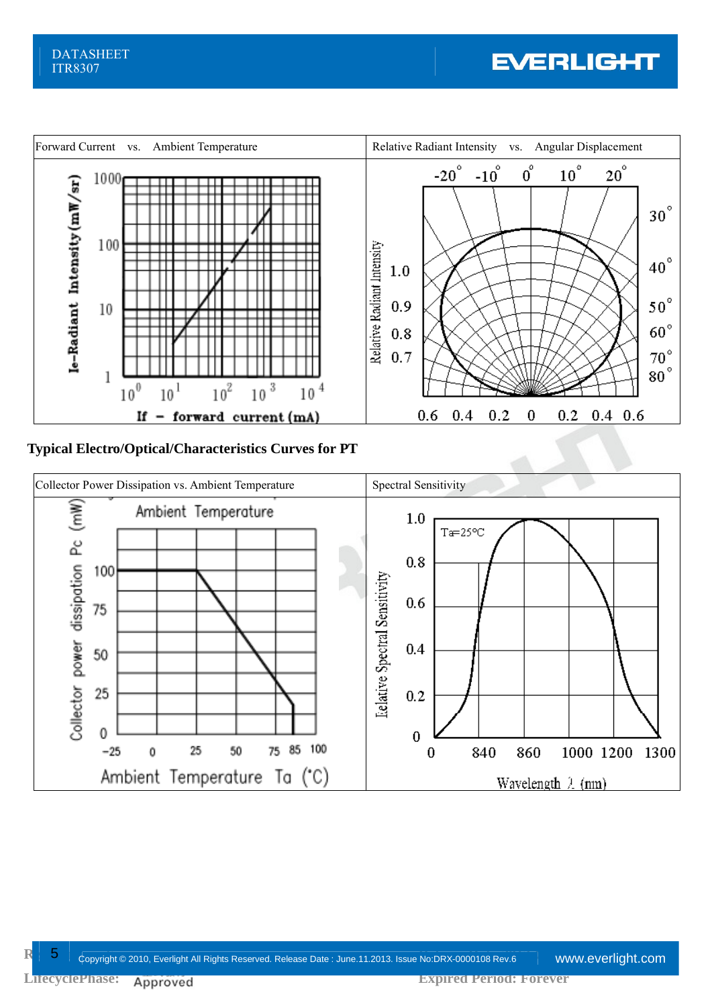# **EVERLIGHT**



## **Typical Electro/Optical/Characteristics Curves for PT**



**Release Ince** Copyright © 2010, Everlight All Rights Reserved. Release Date : June.11.2013. Issue No:DRX-0000108 Rev.6 www.**everlight.com**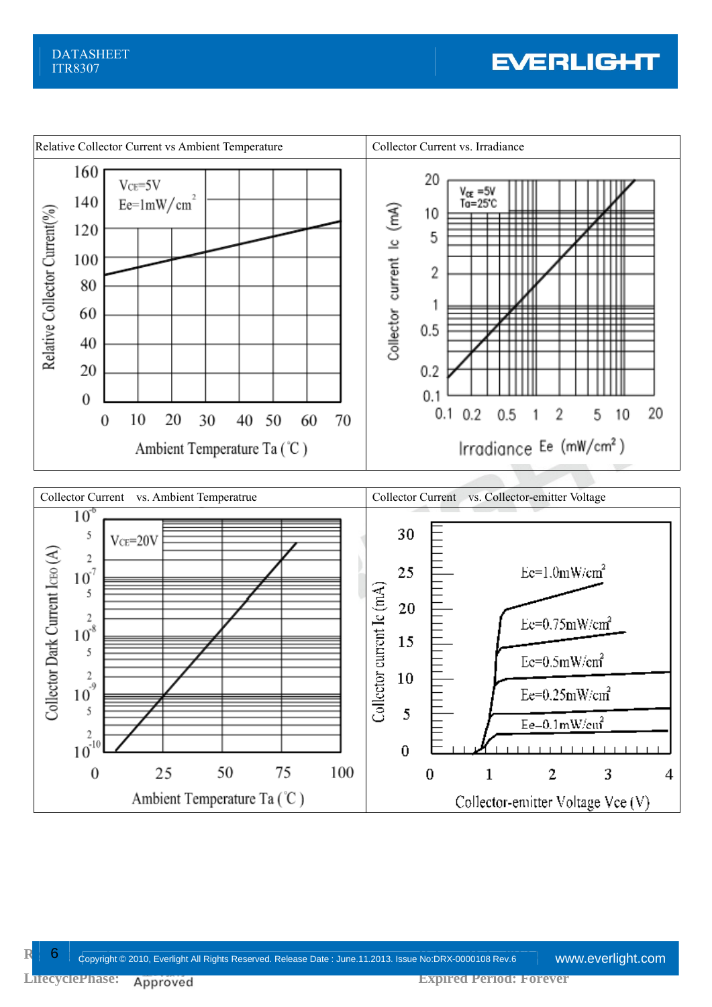# **EVERLIGHT**



**Release Copyright © 2010, Everlight All Rights Reserved. Release Date : June.11.2013. Issue No:DRX-0000108 Rev.6 www.<b>everlight.com**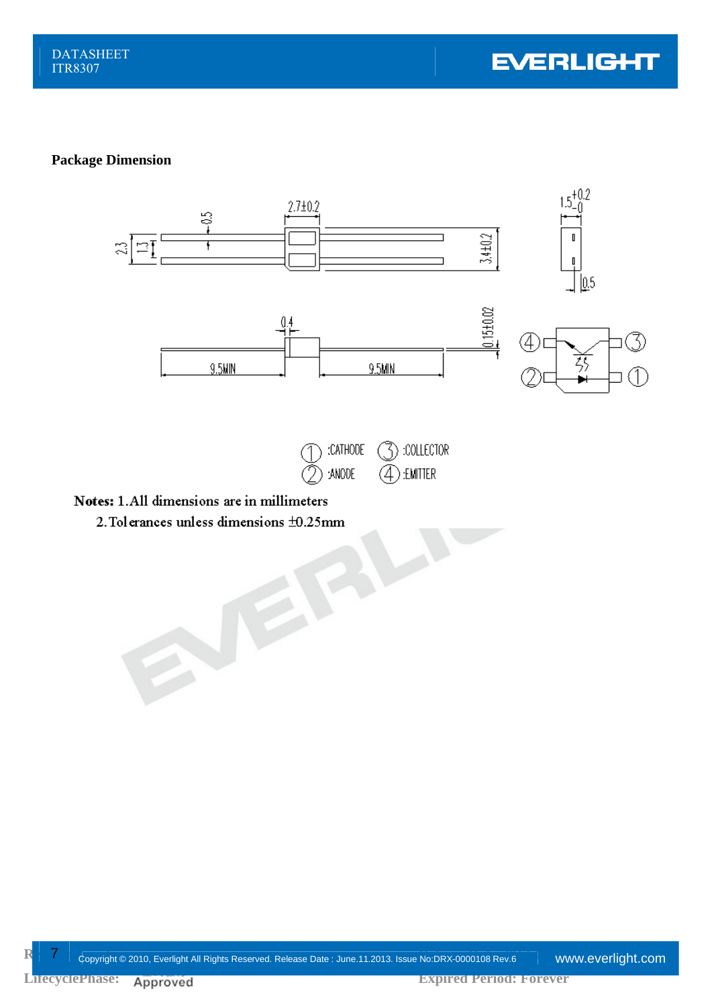#### **Package Dimension**



erances unless dimensions  $\pm 0.25$ mm 2. Tolerances unless dimensions ±0.25mm